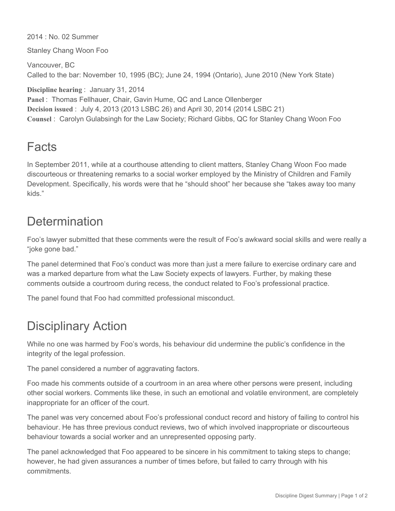2014 : No. 02 Summer

Stanley Chang Woon Foo

Vancouver, BC Called to the bar: November 10, 1995 (BC); June 24, 1994 (Ontario), June 2010 (New York State)

**Discipline hearing** : January 31, 2014

```
Panel : Thomas Fellhauer, Chair, Gavin Hume, QC and Lance Ollenberger
Decision issued : July 4, 2013 (2013 LSBC 26) and April 30, 2014 (2014 LSBC 21)
Counsel : Carolyn Gulabsingh for the Law Society; Richard Gibbs, QC for Stanley Chang Woon Foo
```
## Facts

In September 2011, while at a courthouse attending to client matters, Stanley Chang Woon Foo made discourteous or threatening remarks to a social worker employed by the Ministry of Children and Family Development. Specifically, his words were that he "should shoot" her because she "takes away too many kids."

## **Determination**

Foo's lawyer submitted that these comments were the result of Foo's awkward social skills and were really a "joke gone bad."

The panel determined that Foo's conduct was more than just a mere failure to exercise ordinary care and was a marked departure from what the Law Society expects of lawyers. Further, by making these comments outside a courtroom during recess, the conduct related to Foo's professional practice.

The panel found that Foo had committed professional misconduct.

## Disciplinary Action

While no one was harmed by Foo's words, his behaviour did undermine the public's confidence in the integrity of the legal profession.

The panel considered a number of aggravating factors.

Foo made his comments outside of a courtroom in an area where other persons were present, including other social workers. Comments like these, in such an emotional and volatile environment, are completely inappropriate for an officer of the court.

The panel was very concerned about Foo's professional conduct record and history of failing to control his behaviour. He has three previous conduct reviews, two of which involved inappropriate or discourteous behaviour towards a social worker and an unrepresented opposing party.

The panel acknowledged that Foo appeared to be sincere in his commitment to taking steps to change; however, he had given assurances a number of times before, but failed to carry through with his commitments.